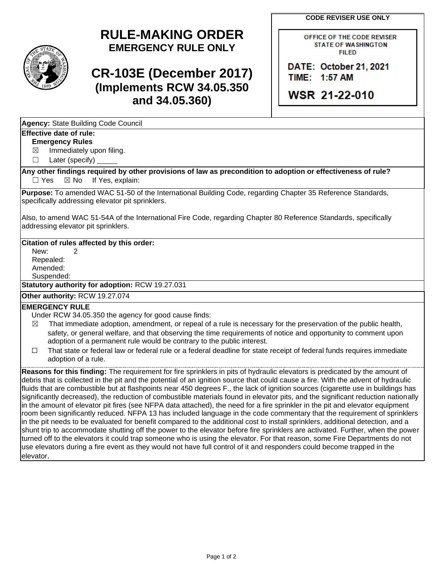**CODE REVISER USE ONLY**



# **RULE-MAKING ORDER EMERGENCY RULE ONLY**

# **CR-103E (December 2017) (Implements RCW 34.05.350 and 34.05.360)**

OFFICE OF THE CODE REVISER **STATE OF WASHINGTON FILED** 

DATE: October 21, 2021 TIME: 1:57 AM

**WSR 21-22-010** 

| Agency: State Building Code Council<br>Effective date of rule: |  |
|----------------------------------------------------------------|--|
|                                                                |  |

### **Emergency Rules**

 $\boxtimes$  Immediately upon filing.

☐ Later (specify)

**Any other findings required by other provisions of law as precondition to adoption or effectiveness of rule?**  $\Box$  Yes  $\boxtimes$  No If Yes, explain:

Purpose: To amended WAC 51-50 of the International Building Code, regarding Chapter 35 Reference Standards, specifically addressing elevator pit sprinklers.

Also, to amend WAC 51-54A of the International Fire Code, regarding Chapter 80 Reference Standards, specifically addressing elevator pit sprinklers.

#### **Citation of rules affected by this order:**

New: 2 Repealed: Amended: Suspended:

**Statutory authority for adoption:** RCW 19.27.031

## **Other authority:** RCW 19.27.074

### **EMERGENCY RULE**

Under RCW 34.05.350 the agency for good cause finds:

- $\boxtimes$  That immediate adoption, amendment, or repeal of a rule is necessary for the preservation of the public health, safety, or general welfare, and that observing the time requirements of notice and opportunity to comment upon adoption of a permanent rule would be contrary to the public interest.
- ☐ That state or federal law or federal rule or a federal deadline for state receipt of federal funds requires immediate adoption of a rule.

**Reasons for this finding:** The requirement for fire sprinklers in pits of hydraulic elevators is predicated by the amount of debris that is collected in the pit and the potential of an ignition source that could cause a fire. With the advent of hydraulic fluids that are combustible but at flashpoints near 450 degrees F., the lack of ignition sources (cigarette use in buildings has significantly decreased), the reduction of combustible materials found in elevator pits, and the significant reduction nationally in the amount of elevator pit fires (see NFPA data attached), the need for a fire sprinkler in the pit and elevator equipment room been significantly reduced. NFPA 13 has included language in the code commentary that the requirement of sprinklers in the pit needs to be evaluated for benefit compared to the additional cost to install sprinklers, additional detection, and a shunt trip to accommodate shutting off the power to the elevator before fire sprinklers are activated. Further, when the power turned off to the elevators it could trap someone who is using the elevator. For that reason, some Fire Departments do not use elevators during a fire event as they would not have full control of it and responders could become trapped in the elevator.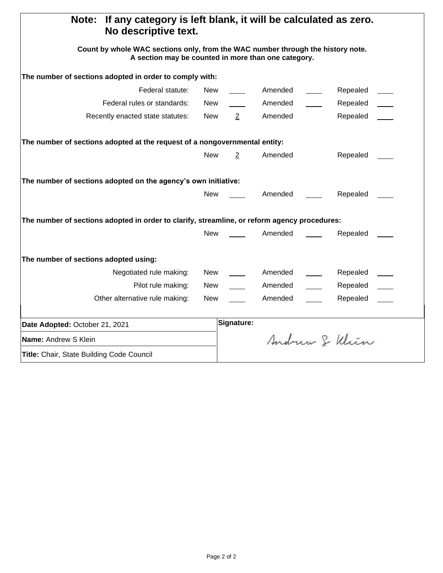| If any category is left blank, it will be calculated as zero.<br>Note:<br>No descriptive text.                                         |            |                |         |  |               |  |  |  |  |  |  |  |
|----------------------------------------------------------------------------------------------------------------------------------------|------------|----------------|---------|--|---------------|--|--|--|--|--|--|--|
| Count by whole WAC sections only, from the WAC number through the history note.<br>A section may be counted in more than one category. |            |                |         |  |               |  |  |  |  |  |  |  |
| The number of sections adopted in order to comply with:                                                                                |            |                |         |  |               |  |  |  |  |  |  |  |
| Federal statute:                                                                                                                       | New        |                | Amended |  | Repealed      |  |  |  |  |  |  |  |
| Federal rules or standards:                                                                                                            | New        |                | Amended |  | Repealed      |  |  |  |  |  |  |  |
| Recently enacted state statutes:                                                                                                       | New        | $\overline{2}$ | Amended |  | Repealed      |  |  |  |  |  |  |  |
| The number of sections adopted at the request of a nongovernmental entity:                                                             |            |                |         |  |               |  |  |  |  |  |  |  |
|                                                                                                                                        | <b>New</b> | 2              | Amended |  | Repealed      |  |  |  |  |  |  |  |
| The number of sections adopted on the agency's own initiative:                                                                         |            |                |         |  |               |  |  |  |  |  |  |  |
|                                                                                                                                        | <b>New</b> |                | Amended |  | Repealed      |  |  |  |  |  |  |  |
| The number of sections adopted in order to clarify, streamline, or reform agency procedures:                                           |            |                |         |  |               |  |  |  |  |  |  |  |
|                                                                                                                                        | <b>New</b> |                | Amended |  | Repealed      |  |  |  |  |  |  |  |
| The number of sections adopted using:                                                                                                  |            |                |         |  |               |  |  |  |  |  |  |  |
| Negotiated rule making:                                                                                                                | <b>New</b> |                | Amended |  | Repealed      |  |  |  |  |  |  |  |
| Pilot rule making:                                                                                                                     | New        |                | Amended |  | Repealed      |  |  |  |  |  |  |  |
| Other alternative rule making:                                                                                                         | New        |                | Amended |  | Repealed      |  |  |  |  |  |  |  |
| Date Adopted: October 21, 2021                                                                                                         |            | Signature:     |         |  |               |  |  |  |  |  |  |  |
| Name: Andrew S Klein                                                                                                                   |            |                |         |  | Andrew & Klin |  |  |  |  |  |  |  |
| Title: Chair, State Building Code Council                                                                                              |            |                |         |  |               |  |  |  |  |  |  |  |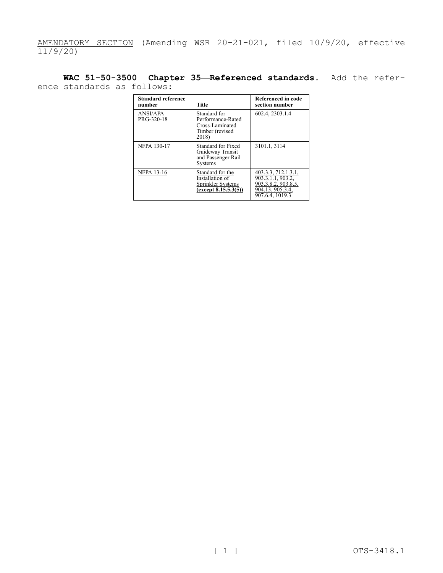AMENDATORY SECTION (Amending WSR 20-21-021, filed 10/9/20, effective  $11/9/20$ 

**WAC 51-50-3500 Chapter 35—Referenced standards.** Add the reference standards as follows:

| <b>Standard reference</b><br>number | <b>Title</b>                                                                     | Referenced in code<br>section number                                                                   |
|-------------------------------------|----------------------------------------------------------------------------------|--------------------------------------------------------------------------------------------------------|
| ANSI/APA<br>PRG-320-18              | Standard for<br>Performance-Rated<br>Cross-Laminated<br>Timber (revised<br>2018) | 602.4, 2303.1.4                                                                                        |
| <b>NFPA 130-17</b>                  | Standard for Fixed<br>Guideway Transit<br>and Passenger Rail<br><b>Systems</b>   | 3101.1, 3114                                                                                           |
| <b>NFPA 13-16</b>                   | Standard for the<br>Installation of<br>Sprinkler Systems<br>(except 8.15.5.3(5)) | 403.3.3, 712.1.3.1,<br>903.3.1.1, 903.2.<br>903.3.8.2, 903.8.5,<br>904.13, 905.3.4,<br>907.6.4, 1019.3 |